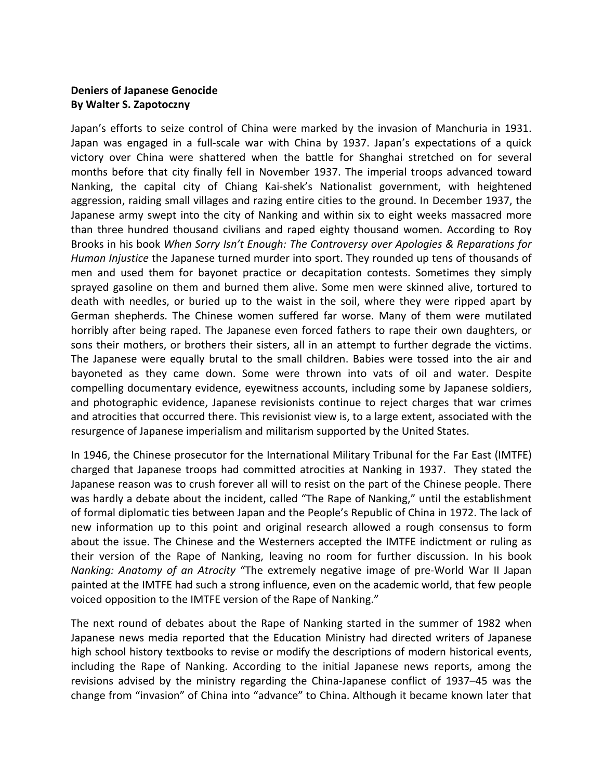## **Deniers of Japanese Genocide By Walter S. Zapotoczny**

Japan's efforts to seize control of China were marked by the invasion of Manchuria in 1931. Japan was engaged in a full-scale war with China by 1937. Japan's expectations of a quick victory over China were shattered when the battle for Shanghai stretched on for several months before that city finally fell in November 1937. The imperial troops advanced toward Nanking, the capital city of Chiang Kai-shek's Nationalist government, with heightened aggression, raiding small villages and razing entire cities to the ground. In December 1937, the Japanese army swept into the city of Nanking and within six to eight weeks massacred more than three hundred thousand civilians and raped eighty thousand women. According to Roy Brooks in his book *When Sorry Isn't Enough: The Controversy over Apologies & Reparations for Human Injustice* the Japanese turned murder into sport. They rounded up tens of thousands of men and used them for bayonet practice or decapitation contests. Sometimes they simply sprayed gasoline on them and burned them alive. Some men were skinned alive, tortured to death with needles, or buried up to the waist in the soil, where they were ripped apart by German shepherds. The Chinese women suffered far worse. Many of them were mutilated horribly after being raped. The Japanese even forced fathers to rape their own daughters, or sons their mothers, or brothers their sisters, all in an attempt to further degrade the victims. The Japanese were equally brutal to the small children. Babies were tossed into the air and bayoneted as they came down. Some were thrown into vats of oil and water. Despite compelling documentary evidence, eyewitness accounts, including some by Japanese soldiers, and photographic evidence, Japanese revisionists continue to reject charges that war crimes and atrocities that occurred there. This revisionist view is, to a large extent, associated with the resurgence of Japanese imperialism and militarism supported by the United States.

In 1946, the Chinese prosecutor for the International Military Tribunal for the Far East (IMTFE) charged that Japanese troops had committed atrocities at Nanking in 1937. They stated the Japanese reason was to crush forever all will to resist on the part of the Chinese people. There was hardly a debate about the incident, called "The Rape of Nanking," until the establishment of formal diplomatic ties between Japan and the People's Republic of China in 1972. The lack of new information up to this point and original research allowed a rough consensus to form about the issue. The Chinese and the Westerners accepted the IMTFE indictment or ruling as their version of the Rape of Nanking, leaving no room for further discussion. In his book *Nanking: Anatomy of an Atrocity* "The extremely negative image of pre-World War II Japan painted at the IMTFE had such a strong influence, even on the academic world, that few people voiced opposition to the IMTFE version of the Rape of Nanking."

The next round of debates about the Rape of Nanking started in the summer of 1982 when Japanese news media reported that the Education Ministry had directed writers of Japanese high school history textbooks to revise or modify the descriptions of modern historical events, including the Rape of Nanking. According to the initial Japanese news reports, among the revisions advised by the ministry regarding the China-Japanese conflict of 1937–45 was the change from "invasion" of China into "advance" to China. Although it became known later that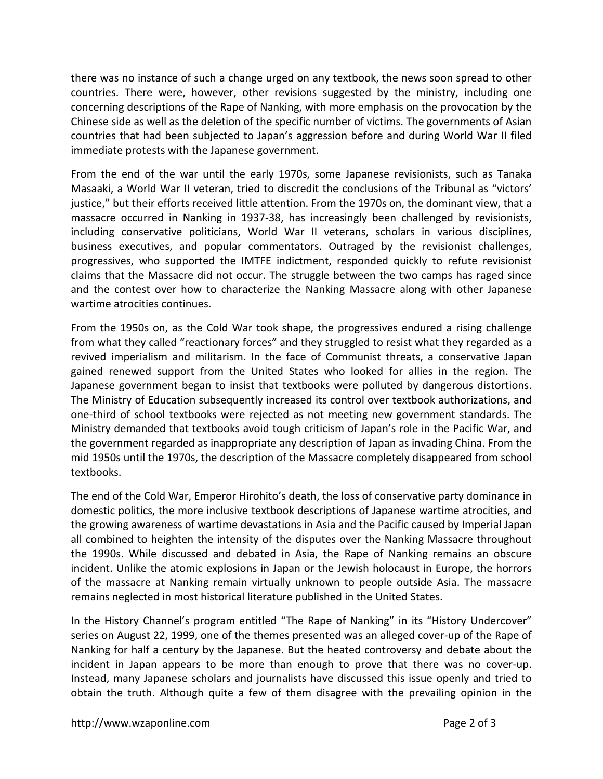there was no instance of such a change urged on any textbook, the news soon spread to other countries. There were, however, other revisions suggested by the ministry, including one concerning descriptions of the Rape of Nanking, with more emphasis on the provocation by the Chinese side as well as the deletion of the specific number of victims. The governments of Asian countries that had been subjected to Japan's aggression before and during World War II filed immediate protests with the Japanese government.

From the end of the war until the early 1970s, some Japanese revisionists, such as Tanaka Masaaki, a World War II veteran, tried to discredit the conclusions of the Tribunal as "victors' justice," but their efforts received little attention. From the 1970s on, the dominant view, that a massacre occurred in Nanking in 1937-38, has increasingly been challenged by revisionists, including conservative politicians, World War II veterans, scholars in various disciplines, business executives, and popular commentators. Outraged by the revisionist challenges, progressives, who supported the IMTFE indictment, responded quickly to refute revisionist claims that the Massacre did not occur. The struggle between the two camps has raged since and the contest over how to characterize the Nanking Massacre along with other Japanese wartime atrocities continues.

From the 1950s on, as the Cold War took shape, the progressives endured a rising challenge from what they called "reactionary forces" and they struggled to resist what they regarded as a revived imperialism and militarism. In the face of Communist threats, a conservative Japan gained renewed support from the United States who looked for allies in the region. The Japanese government began to insist that textbooks were polluted by dangerous distortions. The Ministry of Education subsequently increased its control over textbook authorizations, and one-third of school textbooks were rejected as not meeting new government standards. The Ministry demanded that textbooks avoid tough criticism of Japan's role in the Pacific War, and the government regarded as inappropriate any description of Japan as invading China. From the mid 1950s until the 1970s, the description of the Massacre completely disappeared from school textbooks.

The end of the Cold War, Emperor Hirohito's death, the loss of conservative party dominance in domestic politics, the more inclusive textbook descriptions of Japanese wartime atrocities, and the growing awareness of wartime devastations in Asia and the Pacific caused by Imperial Japan all combined to heighten the intensity of the disputes over the Nanking Massacre throughout the 1990s. While discussed and debated in Asia, the Rape of Nanking remains an obscure incident. Unlike the atomic explosions in Japan or the Jewish holocaust in Europe, the horrors of the massacre at Nanking remain virtually unknown to people outside Asia. The massacre remains neglected in most historical literature published in the United States.

In the History Channel's program entitled "The Rape of Nanking" in its "History Undercover" series on August 22, 1999, one of the themes presented was an alleged cover-up of the Rape of Nanking for half a century by the Japanese. But the heated controversy and debate about the incident in Japan appears to be more than enough to prove that there was no cover-up. Instead, many Japanese scholars and journalists have discussed this issue openly and tried to obtain the truth. Although quite a few of them disagree with the prevailing opinion in the